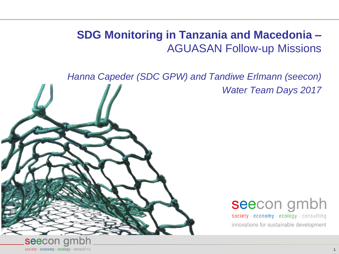# **SDG Monitoring in Tanzania and Macedonia –** AGUASAN Follow-up Missions

*Hanna Capeder (SDC GPW) and Tandiwe Erlmann (seecon)*

*Water Team Days 2017*



# seecon gmbh

society - economy - ecology - consulting innovations for sustainable development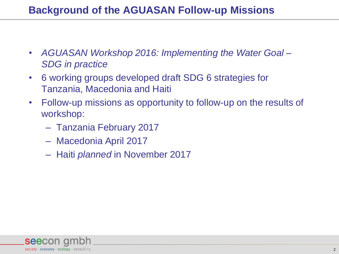- *AGUASAN Workshop 2016: Implementing the Water Goal – SDG in practice*
- 6 working groups developed draft SDG 6 strategies for Tanzania, Macedonia and Haiti
- Follow-up missions as opportunity to follow-up on the results of workshop:
	- Tanzania February 2017
	- Macedonia April 2017
	- Haiti *planned* in November 2017

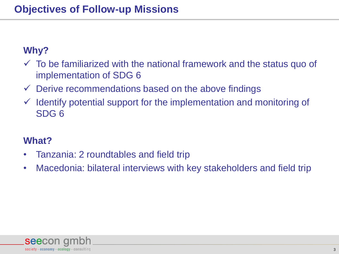#### **Why?**

- $\checkmark$  To be familiarized with the national framework and the status quo of implementation of SDG 6
- $\checkmark$  Derive recommendations based on the above findings
- $\checkmark$  Identify potential support for the implementation and monitoring of SDG 6

#### **What?**

- Tanzania: 2 roundtables and field trip
- Macedonia: bilateral interviews with key stakeholders and field trip

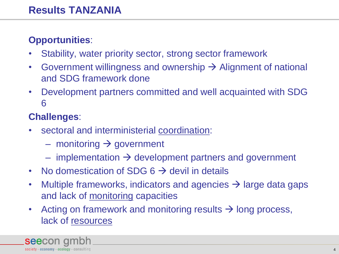#### **Opportunities**:

- Stability, water priority sector, strong sector framework
- Government willingness and ownership  $\rightarrow$  Alignment of national and SDG framework done
- Development partners committed and well acquainted with SDG 6

# **Challenges**:

- sectoral and interministerial coordination:
	- monitoring  $\rightarrow$  government
	- implementation  $\rightarrow$  development partners and government
- No domestication of SDG  $6 \rightarrow$  devil in details
- Multiple frameworks, indicators and agencies  $\rightarrow$  large data gaps and lack of monitoring capacities
- Acting on framework and monitoring results  $\rightarrow$  long process, lack of resources

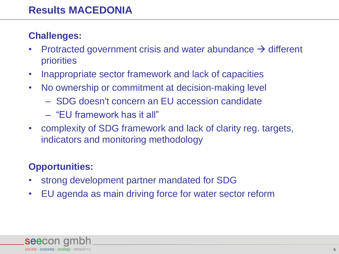#### **Challenges:**

- Protracted government crisis and water abundance  $\rightarrow$  different priorities
- Inappropriate sector framework and lack of capacities
- No ownership or commitment at decision-making level
	- SDG doesn't concern an EU accession candidate
	- "EU framework has it all"
- complexity of SDG framework and lack of clarity reg. targets, indicators and monitoring methodology

# **Opportunities:**

- strong development partner mandated for SDG
- EU agenda as main driving force for water sector reform

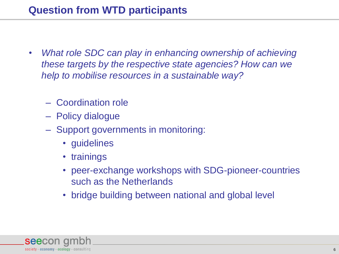- *What role SDC can play in enhancing ownership of achieving these targets by the respective state agencies? How can we help to mobilise resources in a sustainable way?*
	- Coordination role
	- Policy dialogue
	- Support governments in monitoring:
		- guidelines
		- trainings
		- peer-exchange workshops with SDG-pioneer-countries such as the Netherlands
		- bridge building between national and global level